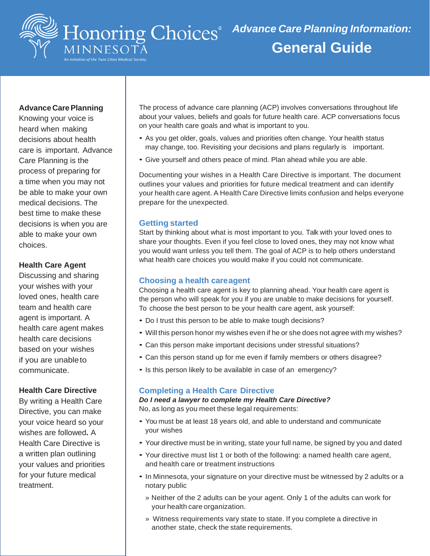

## **Advance Care Planning**

Knowing your voice is heard when making decisions about health care is important. Advance Care Planning is the process of preparing for a time when you may not be able to make your own medical decisions. The best time to make these decisions is when you are able to make your own choices.

## **Health Care Agent**

Discussing and sharing your wishes with your loved ones, health care team and health care agent is important. A health care agent makes health care decisions based on your wishes if you are unableto communicate.

#### **Health Care Directive**

By writing a Health Care Directive, you can make your voice heard so your wishes are followed**.** A Health Care Directive is a written plan outlining your values and priorities for your future medical treatment.

The process of advance care planning (ACP) involves conversations throughout life about your values, beliefs and goals for future health care. ACP conversations focus on your health care goals and what is important to you.

- As you get older, goals, values and priorities often change. Your health status may change, too. Revisiting your decisions and plans regularly is important.
- Give yourself and others peace of mind. Plan ahead while you are able.

Documenting your wishes in a Health Care Directive is important. The document outlines your values and priorities for future medical treatment and can identify your health care agent. A Health Care Directive limits confusion and helps everyone prepare for the unexpected.

#### **Getting started**

Start by thinking about what is most important to you. Talk with your loved ones to share your thoughts. Even if you feel close to loved ones, they may not know what you would want unless you tell them. The goal of ACP is to help others understand what health care choices you would make if you could not communicate.

## **Choosing a health careagent**

Choosing a health care agent is key to planning ahead. Your health care agent is the person who will speak for you if you are unable to make decisions for yourself. To choose the best person to be your health care agent, ask yourself:

- Do I trust this person to be able to make tough decisions?
- Will this person honor my wishes even if he or she does not agree with my wishes?
- Can this person make important decisions under stressful situations?
- Can this person stand up for me even if family members or others disagree?
- Is this person likely to be available in case of an emergency?

## **Completing a Health Care Directive**

## *Do I need a lawyer to complete my Health Care Directive?*

No, as long as you meet these legal requirements:

- You must be at least 18 years old, and able to understand and communicate your wishes
- Your directive must be in writing, state your full name, be signed by you and dated
- Your directive must list 1 or both of the following: a named health care agent, and health care or treatment instructions
- In Minnesota, your signature on your directive must be witnessed by 2 adults or a notary public
	- » Neither of the 2 adults can be your agent. Only 1 of the adults can work for your health care organization.
	- » Witness requirements vary state to state. If you complete a directive in another state, check the state requirements.